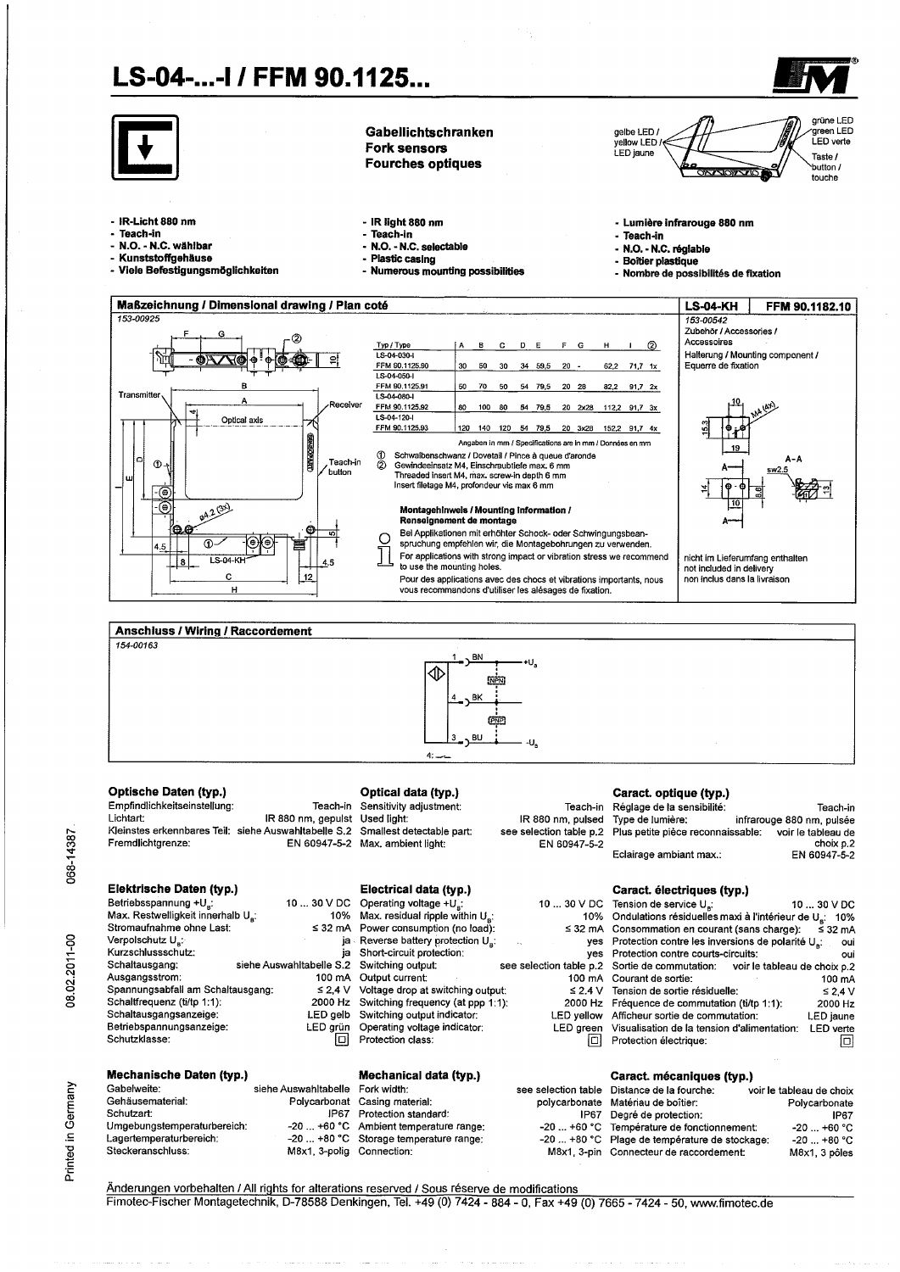

Änderungen vorbehalten / All rights for alterations reserved / Sous réserve de modifications Fimotec-Fischer Montagetechnik, D-78588 Denkingen, Tel. +49 (0) 7424 - 884 - 0, Fax +49 (0) 7665 - 7424 - 50, www.fimotec.de

068-14387